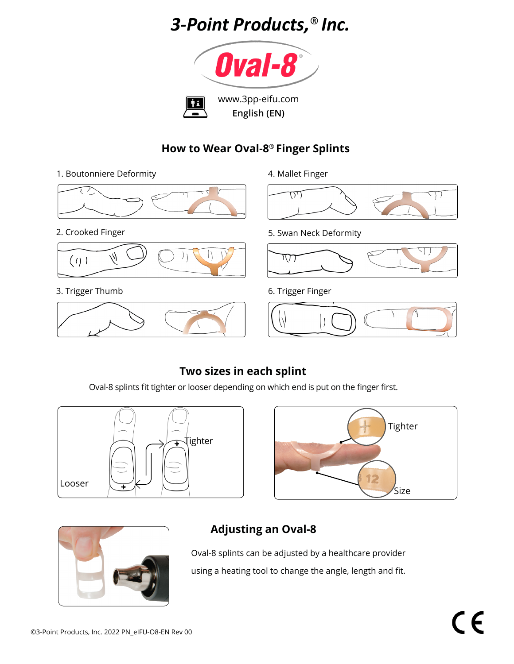# *3-Point Products,*® *Inc.*



#### **How to Wear Oval-8**® **Finger Splints**

1. Boutonniere Deformity

2. Crooked Finger



3. Trigger Thumb



4. Mallet Finger



5. Swan Neck Deformity



6. Trigger Finger



## **Two sizes in each splint**

Oval-8 splints fit tighter or looser depending on which end is put on the finger first.







## **Adjusting an Oval-8**

Oval-8 splints can be adjusted by a healthcare provider using a heating tool to change the angle, length and fit.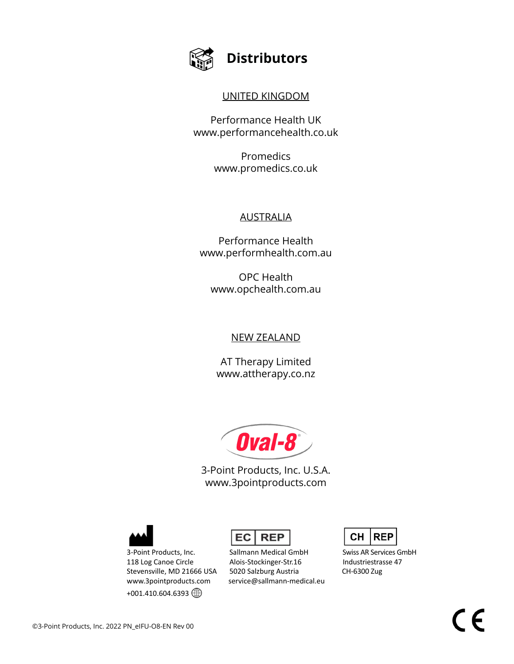

## **Distributors**

#### UNITED KINGDOM

Performance Health UK www.performancehealth.co.uk

> Promedics www.promedics.co.uk

#### **AUSTRALIA**

Performance Health www.performhealth.com.au

OPC Health www.opchealth.com.au

#### NEW ZEALAND

AT Therapy Limited www.attherapy.co.nz

Oval-8

3-Point Products, Inc. U.S.A. www.3pointproducts.com



 $+001.410.604.6393$ 



3-Point Products, Inc. Sallmann Medical GmbH Swiss AR Services GmbH 118 Log Canoe Circle **Alois-Stockinger-Str.16** Industriestrasse 47 Stevensville, MD 21666 USA 5020 Salzburg Austria CH-6300 Zug www.3pointproducts.com service@sallmann-medical.eu